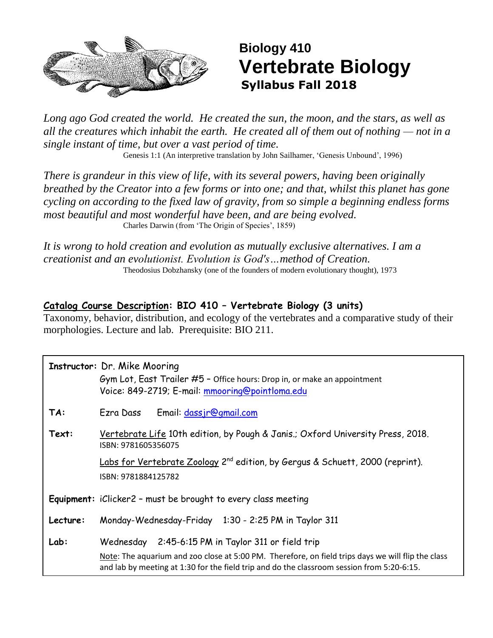

# **Biology 410 Vertebrate Biology Syllabus Fall 2018**

*Long ago God created the world. He created the sun, the moon, and the stars, as well as all the creatures which inhabit the earth. He created all of them out of nothing — not in a single instant of time, but over a vast period of time.*

Genesis 1:1 (An interpretive translation by John Sailhamer, 'Genesis Unbound', 1996)

*There is grandeur in this view of life, with its several powers, having been originally breathed by the Creator into a few forms or into one; and that, whilst this planet has gone cycling on according to the fixed law of gravity, from so simple a beginning endless forms most beautiful and most wonderful have been, and are being evolved.*  Charles Darwin (from 'The Origin of Species', 1859)

*It is wrong to hold creation and evolution as mutually exclusive alternatives. I am a creationist and an evolutionist. Evolution is God's…method of Creation.* Theodosius Dobzhansky (one of the founders of modern evolutionary thought), 1973

### **Catalog Course Description: BIO 410 – Vertebrate Biology (3 units)**

Taxonomy, behavior, distribution, and ecology of the vertebrates and a comparative study of their morphologies. Lecture and lab. Prerequisite: BIO 211.

### **Instructor:** Dr. Mike Mooring

Gym Lot, East Trailer #5 – Office hours: Drop in, or make an appointment Voice: 849-2719; E-mail: [mmooring@pointloma.edu](mailto:mmooring@pointloma.edu)

- **TA:** Ezra Dass Email: [dassjr@gmail.com](mailto:dassjr@gmail.com)
- **Text:** Vertebrate Life 10th edition, by Pough & Janis.; Oxford University Press, 2018. ISBN: 9781605356075

Labs for Vertebrate Zoology 2<sup>nd</sup> edition, by Gergus & Schuett, 2000 (reprint). ISBN: 9781884125782

**Equipment:** iClicker2 – must be brought to every class meeting

**Lecture:** Monday-Wednesday-Friday 1:30 - 2:25 PM in Taylor 311

**Lab:** Wednesday 2:45-6:15 PM in Taylor 311 or field trip

Note: The aquarium and zoo close at 5:00 PM. Therefore, on field trips days we will flip the class and lab by meeting at 1:30 for the field trip and do the classroom session from 5:20-6:15.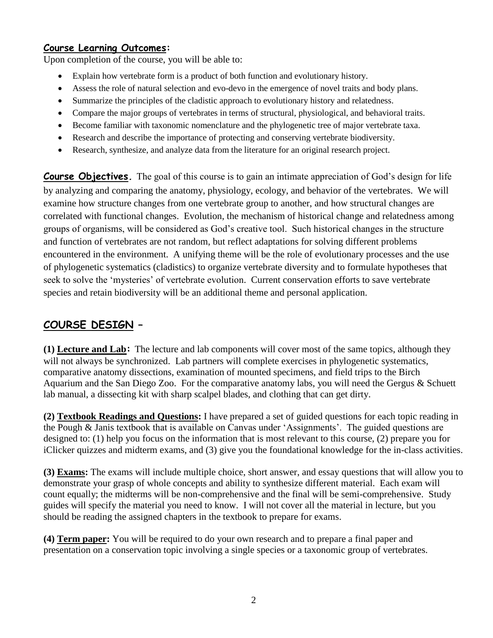### **Course Learning Outcomes:**

Upon completion of the course, you will be able to:

- Explain how vertebrate form is a product of both function and evolutionary history.
- Assess the role of natural selection and evo-devo in the emergence of novel traits and body plans.
- Summarize the principles of the cladistic approach to evolutionary history and relatedness.
- Compare the major groups of vertebrates in terms of structural, physiological, and behavioral traits.
- Become familiar with taxonomic nomenclature and the phylogenetic tree of major vertebrate taxa.
- Research and describe the importance of protecting and conserving vertebrate biodiversity.
- Research, synthesize, and analyze data from the literature for an original research project.

**Course Objectives.** The goal of this course is to gain an intimate appreciation of God's design for life by analyzing and comparing the anatomy, physiology, ecology, and behavior of the vertebrates. We will examine how structure changes from one vertebrate group to another, and how structural changes are correlated with functional changes. Evolution, the mechanism of historical change and relatedness among groups of organisms, will be considered as God's creative tool. Such historical changes in the structure and function of vertebrates are not random, but reflect adaptations for solving different problems encountered in the environment. A unifying theme will be the role of evolutionary processes and the use of phylogenetic systematics (cladistics) to organize vertebrate diversity and to formulate hypotheses that seek to solve the 'mysteries' of vertebrate evolution. Current conservation efforts to save vertebrate species and retain biodiversity will be an additional theme and personal application.

### **COURSE DESIGN –**

**(1) Lecture and Lab:** The lecture and lab components will cover most of the same topics, although they will not always be synchronized. Lab partners will complete exercises in phylogenetic systematics, comparative anatomy dissections, examination of mounted specimens, and field trips to the Birch Aquarium and the San Diego Zoo. For the comparative anatomy labs, you will need the Gergus & Schuett lab manual, a dissecting kit with sharp scalpel blades, and clothing that can get dirty.

**(2) Textbook Readings and Questions:** I have prepared a set of guided questions for each topic reading in the Pough & Janis textbook that is available on Canvas under 'Assignments'. The guided questions are designed to: (1) help you focus on the information that is most relevant to this course, (2) prepare you for iClicker quizzes and midterm exams, and (3) give you the foundational knowledge for the in-class activities.

**(3) Exams:** The exams will include multiple choice, short answer, and essay questions that will allow you to demonstrate your grasp of whole concepts and ability to synthesize different material. Each exam will count equally; the midterms will be non-comprehensive and the final will be semi-comprehensive. Study guides will specify the material you need to know. I will not cover all the material in lecture, but you should be reading the assigned chapters in the textbook to prepare for exams.

**(4) Term paper:** You will be required to do your own research and to prepare a final paper and presentation on a conservation topic involving a single species or a taxonomic group of vertebrates.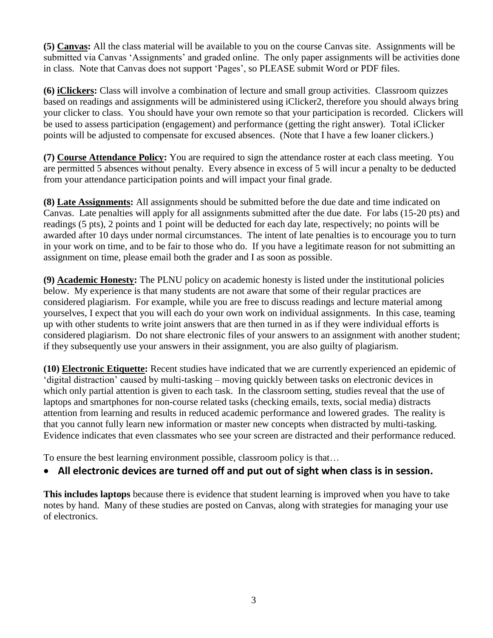**(5) Canvas:** All the class material will be available to you on the course Canvas site. Assignments will be submitted via Canvas 'Assignments' and graded online. The only paper assignments will be activities done in class. Note that Canvas does not support 'Pages', so PLEASE submit Word or PDF files.

**(6) iClickers:** Class will involve a combination of lecture and small group activities. Classroom quizzes based on readings and assignments will be administered using iClicker2, therefore you should always bring your clicker to class. You should have your own remote so that your participation is recorded. Clickers will be used to assess participation (engagement) and performance (getting the right answer). Total iClicker points will be adjusted to compensate for excused absences. (Note that I have a few loaner clickers.)

**(7) Course Attendance Policy:** You are required to sign the attendance roster at each class meeting. You are permitted 5 absences without penalty. Every absence in excess of 5 will incur a penalty to be deducted from your attendance participation points and will impact your final grade.

**(8) Late Assignments:** All assignments should be submitted before the due date and time indicated on Canvas. Late penalties will apply for all assignments submitted after the due date. For labs (15-20 pts) and readings (5 pts), 2 points and 1 point will be deducted for each day late, respectively; no points will be awarded after 10 days under normal circumstances. The intent of late penalties is to encourage you to turn in your work on time, and to be fair to those who do. If you have a legitimate reason for not submitting an assignment on time, please email both the grader and I as soon as possible.

**(9) Academic Honesty:** The PLNU policy on academic honesty is listed under the institutional policies below. My experience is that many students are not aware that some of their regular practices are considered plagiarism. For example, while you are free to discuss readings and lecture material among yourselves, I expect that you will each do your own work on individual assignments. In this case, teaming up with other students to write joint answers that are then turned in as if they were individual efforts is considered plagiarism. Do not share electronic files of your answers to an assignment with another student; if they subsequently use your answers in their assignment, you are also guilty of plagiarism.

**(10) Electronic Etiquette:** Recent studies have indicated that we are currently experienced an epidemic of 'digital distraction' caused by multi-tasking – moving quickly between tasks on electronic devices in which only partial attention is given to each task. In the classroom setting, studies reveal that the use of laptops and smartphones for non-course related tasks (checking emails, texts, social media) distracts attention from learning and results in reduced academic performance and lowered grades. The reality is that you cannot fully learn new information or master new concepts when distracted by multi-tasking. Evidence indicates that even classmates who see your screen are distracted and their performance reduced.

To ensure the best learning environment possible, classroom policy is that…

### **All electronic devices are turned off and put out of sight when class is in session.**

**This includes laptops** because there is evidence that student learning is improved when you have to take notes by hand. Many of these studies are posted on Canvas, along with strategies for managing your use of electronics.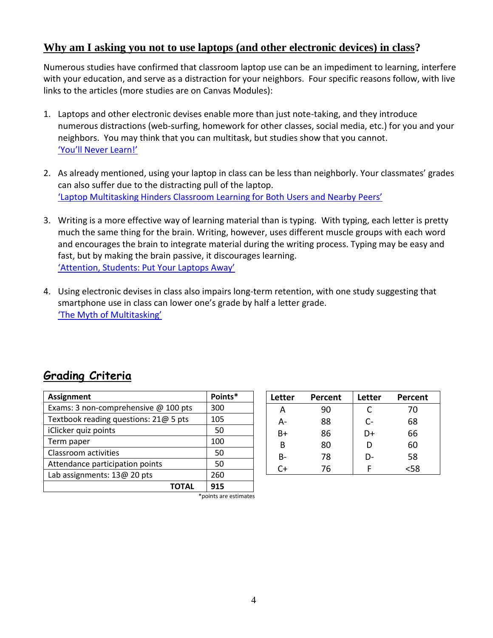#### **Why am I asking you not to use laptops (and other electronic devices) in class?**

Numerous studies have confirmed that classroom laptop use can be an impediment to learning, interfere with your education, and serve as a distraction for your neighbors. Four specific reasons follow, with live links to the articles (more studies are on Canvas Modules):

- 1. Laptops and other electronic devises enable more than just note-taking, and they introduce numerous distractions (web-surfing, homework for other classes, social media, etc.) for you and your neighbors. You may think that you can multitask, but studies show that you cannot. ['You'll Never Learn!'](http://www.slate.com/articles/health_and_science/science/2013/05/multitasking_while_studying_divided_attention_and_technological_gadgets.html)
- 2. As already mentioned, using your laptop in class can be less than neighborly. Your classmates' grades can also suffer due to the distracting pull of the laptop. ['Laptop Multitasking Hinders Classroom Learning for Both Users and Nearby Peers'](https://www.sciencedirect.com/science/article/pii/S0360131512002254)
- 3. Writing is a more effective way of learning material than is typing. With typing, each letter is pretty much the same thing for the brain. Writing, however, uses different muscle groups with each word and encourages the brain to integrate material during the writing process. Typing may be easy and fast, but by making the brain passive, it discourages learning. ['Attention, Students: Put Your Laptops Away'](https://www.npr.org/2016/04/17/474525392/attention-students-put-your-laptops-away)
- 4. Using electronic devises in class also impairs long-term retention, with one study suggesting that smartphone use in class can lower one's grade by half a letter grade. ['The Myth of Multitasking'](https://www.insidehighered.com/news/2018/07/27/class-cellphone-and-laptop-use-lowers-exam-scores-new-study-shows)

### **Grading Criteria**

| <b>Assignment</b>                     | Points* |
|---------------------------------------|---------|
| Exams: 3 non-comprehensive @ 100 pts  | 300     |
| Textbook reading questions: 21@ 5 pts | 105     |
| iClicker quiz points                  | 50      |
| Term paper                            | 100     |
| Classroom activities                  | 50      |
| Attendance participation points       | 50      |
| Lab assignments: 13@ 20 pts           | 260     |
|                                       | 915     |

| Letter | Percent | Letter | <b>Percent</b> |
|--------|---------|--------|----------------|
| А      | 90      | C      | 70             |
| А-     | 88      | $C -$  | 68             |
| B+     | 86      | D+     | 66             |
| B      | 80      | D      | 60             |
| B-     | 78      | D-     | 58             |
| C+     | 76      |        | <58            |

\*points are estimates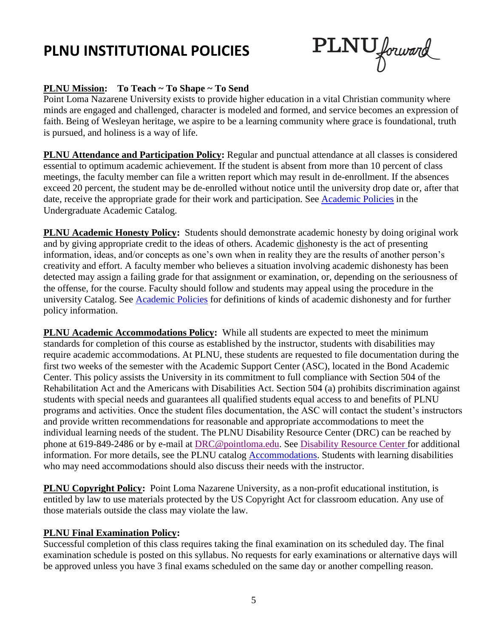# **PLNU INSTITUTIONAL POLICIES**

PLNU forward

#### **PLNU Mission: To Teach ~ To Shape ~ To Send**

Point Loma Nazarene University exists to provide higher education in a vital Christian community where minds are engaged and challenged, character is modeled and formed, and service becomes an expression of faith. Being of Wesleyan heritage, we aspire to be a learning community where grace is foundational, truth is pursued, and holiness is a way of life.

**PLNU Attendance and Participation Policy:** Regular and punctual attendance at all classes is considered essential to optimum academic achievement. If the student is absent from more than 10 percent of class meetings, the faculty member can file a written report which may result in de-enrollment. If the absences exceed 20 percent, the student may be de-enrolled without notice until the university drop date or, after that date, receive the appropriate grade for their work and participation. See [Academic](http://catalog.pointloma.edu/content.php?catoid=18&navoid=1278) Policies in the Undergraduate Academic Catalog.

**PLNU Academic Honesty Policy:** Students should demonstrate academic honesty by doing original work and by giving appropriate credit to the ideas of others. Academic dishonesty is the act of presenting information, ideas, and/or concepts as one's own when in reality they are the results of another person's creativity and effort. A faculty member who believes a situation involving academic dishonesty has been detected may assign a failing grade for that assignment or examination, or, depending on the seriousness of the offense, for the course. Faculty should follow and students may appeal using the procedure in the university Catalog. See [Academic Policies](http://catalog.pointloma.edu/content.php?catoid=18&navoid=1278) for definitions of kinds of academic dishonesty and for further policy information.

**PLNU Academic Accommodations Policy:** While all students are expected to meet the minimum standards for completion of this course as established by the instructor, students with disabilities may require academic accommodations. At PLNU, these students are requested to file documentation during the first two weeks of the semester with the Academic Support Center (ASC), located in the Bond Academic Center. This policy assists the University in its commitment to full compliance with Section 504 of the Rehabilitation Act and the Americans with Disabilities Act. Section 504 (a) prohibits discrimination against students with special needs and guarantees all qualified students equal access to and benefits of PLNU programs and activities. Once the student files documentation, the ASC will contact the student's instructors and provide written recommendations for reasonable and appropriate accommodations to meet the individual learning needs of the student. The PLNU Disability Resource Center (DRC) can be reached by phone at 619-849-2486 or by e-mail at [DRC@pointloma.edu.](mailto:DRC@pointloma.edu) See [Disability Resource Center](http://www.pointloma.edu/experience/offices/administrative-offices/academic-advising-office/disability-resource-center) for additional information. For more details, see the PLNU catalog [Accommodations.](https://catalog.pointloma.edu/content.php?catoid=35&navoid=2136#Academic_Accommodations) Students with learning disabilities who may need accommodations should also discuss their needs with the instructor.

**PLNU Copyright Policy:** Point Loma Nazarene University, as a non-profit educational institution, is entitled by law to use materials protected by the US Copyright Act for classroom education. Any use of those materials outside the class may violate the law.

#### **PLNU Final Examination Policy:**

Successful completion of this class requires taking the final examination on its scheduled day. The final examination schedule is posted on this syllabus. No requests for early examinations or alternative days will be approved unless you have 3 final exams scheduled on the same day or another compelling reason.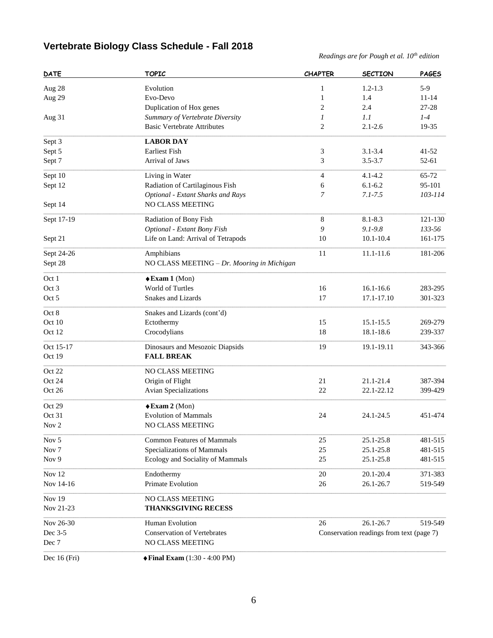## **Vertebrate Biology Class Schedule - Fall 2018**

*Readings are for Pough et al. 10th edition*

| <b>DATE</b>      | <b>TOPIC</b>                                | <b>CHAPTER</b>   | <b>SECTION</b>                           | <b>PAGES</b> |
|------------------|---------------------------------------------|------------------|------------------------------------------|--------------|
| Aug 28           | Evolution                                   | 1                | $1.2 - 1.3$                              | $5-9$        |
| Aug 29           | Evo-Devo                                    | $\mathbf{1}$     | 1.4                                      | $11 - 14$    |
|                  | Duplication of Hox genes                    | $\overline{c}$   | 2.4                                      | 27-28        |
| Aug 31           | Summary of Vertebrate Diversity             | $\boldsymbol{l}$ | 1.1                                      | $1-4$        |
|                  | <b>Basic Vertebrate Attributes</b>          | $\overline{2}$   | $2.1 - 2.6$                              | 19-35        |
|                  | <b>LABOR DAY</b>                            |                  |                                          |              |
| Sept 3           | <b>Earliest Fish</b>                        |                  | $3.1 - 3.4$                              | 41-52        |
| Sept 5           | Arrival of Jaws                             | 3<br>3           | $3.5 - 3.7$                              |              |
| Sept 7           |                                             |                  |                                          | 52-61        |
| Sept 10          | Living in Water                             | $\overline{4}$   | $4.1 - 4.2$                              | 65-72        |
| Sept 12          | Radiation of Cartilaginous Fish             | 6                | $6.1 - 6.2$                              | 95-101       |
|                  | Optional - Extant Sharks and Rays           | 7                | $7.1 - 7.5$                              | 103-114      |
| Sept 14          | NO CLASS MEETING                            |                  |                                          |              |
| Sept 17-19       | Radiation of Bony Fish                      | $\,8\,$          | 8.1-8.3                                  | 121-130      |
|                  | Optional - Extant Bony Fish                 | 9                | $9.1 - 9.8$                              | 133-56       |
| Sept 21          | Life on Land: Arrival of Tetrapods          | 10               | $10.1 - 10.4$                            | 161-175      |
| Sept 24-26       | Amphibians                                  | 11               | 11.1-11.6                                | 181-206      |
| Sept 28          | NO CLASS MEETING - Dr. Mooring in Michigan  |                  |                                          |              |
|                  |                                             |                  |                                          |              |
| Oct 1            | $\triangle$ Exam 1 (Mon)                    |                  |                                          |              |
| Oct 3            | World of Turtles                            | 16               | $16.1 - 16.6$                            | 283-295      |
| Oct 5            | Snakes and Lizards                          | 17               | 17.1-17.10                               | 301-323      |
| Oct 8            | Snakes and Lizards (cont'd)                 |                  |                                          |              |
| Oct 10           | Ectothermy                                  | 15               | 15.1-15.5                                | 269-279      |
| Oct 12           | Crocodylians                                | 18               | 18.1-18.6                                | 239-337      |
| Oct 15-17        | Dinosaurs and Mesozoic Diapsids             | 19               | 19.1-19.11                               | 343-366      |
| Oct 19           | <b>FALL BREAK</b>                           |                  |                                          |              |
| Oct 22           | NO CLASS MEETING                            |                  |                                          |              |
| Oct 24           | Origin of Flight                            | 21               | 21.1-21.4                                | 387-394      |
| Oct 26           | <b>Avian Specializations</b>                | 22               | 22.1-22.12                               | 399-429      |
| Oct 29           | $\triangle$ Exam 2 (Mon)                    |                  |                                          |              |
| Oct 31           | <b>Evolution of Mammals</b>                 | 24               | 24.1-24.5                                | 451-474      |
| Nov 2            | <b>NO CLASS MEETING</b>                     |                  |                                          |              |
|                  |                                             |                  |                                          |              |
| Nov 5            | <b>Common Features of Mammals</b>           | 25               | 25.1-25.8                                | 481-515      |
| Nov <sub>7</sub> | Specializations of Mammals                  | 25               | 25.1-25.8                                | 481-515      |
| Nov 9            | Ecology and Sociality of Mammals            | 25               | 25.1-25.8                                | 481-515      |
| <b>Nov 12</b>    | Endothermy                                  | 20               | 20.1-20.4                                | 371-383      |
| Nov 14-16        | Primate Evolution                           | 26               | 26.1-26.7                                | 519-549      |
| <b>Nov 19</b>    | NO CLASS MEETING                            |                  |                                          |              |
| Nov 21-23        | <b>THANKSGIVING RECESS</b>                  |                  |                                          |              |
| Nov 26-30        | Human Evolution                             | 26               | 26.1-26.7                                | 519-549      |
| Dec 3-5          | <b>Conservation of Vertebrates</b>          |                  | Conservation readings from text (page 7) |              |
| Dec 7            | NO CLASS MEETING                            |                  |                                          |              |
|                  |                                             |                  |                                          |              |
| Dec 16 (Fri)     | $\blacklozenge$ Final Exam (1:30 - 4:00 PM) |                  |                                          |              |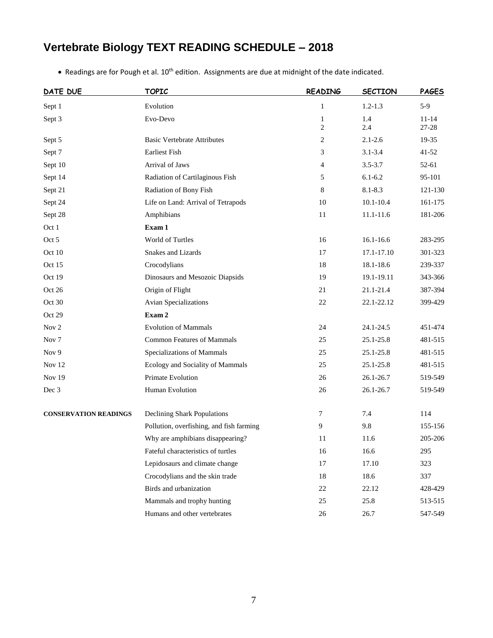# **Vertebrate Biology TEXT READING SCHEDULE – 2018**

| • Readings are for Pough et al. $10th$ edition. Assignments are due at midnight of the date indicated. |  |  |
|--------------------------------------------------------------------------------------------------------|--|--|
|--------------------------------------------------------------------------------------------------------|--|--|

| DATE DUE                     | <b>TOPIC</b>                             | <b>READING</b>    | <b>SECTION</b> | <b>PAGES</b>       |
|------------------------------|------------------------------------------|-------------------|----------------|--------------------|
| Sept 1                       | Evolution                                | $\mathbf{1}$      | $1.2 - 1.3$    | $5-9$              |
| Sept 3                       | Evo-Devo                                 | $\mathbf{1}$<br>2 | 1.4<br>2.4     | $11 - 14$<br>27-28 |
| Sept 5                       | <b>Basic Vertebrate Attributes</b>       | 2                 | $2.1 - 2.6$    | 19-35              |
| Sept 7                       | <b>Earliest Fish</b>                     | 3                 | $3.1 - 3.4$    | $41 - 52$          |
| Sept 10                      | Arrival of Jaws                          | $\overline{4}$    | $3.5 - 3.7$    | 52-61              |
| Sept 14                      | Radiation of Cartilaginous Fish          | 5                 | $6.1 - 6.2$    | 95-101             |
| Sept 21                      | Radiation of Bony Fish                   | 8                 | 8.1-8.3        | 121-130            |
| Sept 24                      | Life on Land: Arrival of Tetrapods       | 10                | $10.1 - 10.4$  | 161-175            |
| Sept 28                      | Amphibians                               | 11                | 11.1-11.6      | 181-206            |
| Oct 1                        | Exam 1                                   |                   |                |                    |
| Oct 5                        | World of Turtles                         | 16                | $16.1 - 16.6$  | 283-295            |
| Oct 10                       | <b>Snakes and Lizards</b>                | 17                | $17.1 - 17.10$ | 301-323            |
| Oct 15                       | Crocodylians                             | 18                | 18.1-18.6      | 239-337            |
| Oct 19                       | Dinosaurs and Mesozoic Diapsids          | 19                | 19.1-19.11     | 343-366            |
| Oct 26                       | Origin of Flight                         | 21                | 21.1-21.4      | 387-394            |
| Oct 30                       | Avian Specializations                    | 22                | 22.1-22.12     | 399-429            |
| Oct 29                       | Exam 2                                   |                   |                |                    |
| Nov <sub>2</sub>             | <b>Evolution of Mammals</b>              | 24                | 24.1-24.5      | 451-474            |
| Nov <sub>7</sub>             | <b>Common Features of Mammals</b>        | 25                | 25.1-25.8      | 481-515            |
| Nov 9                        | Specializations of Mammals               | 25                | 25.1-25.8      | 481-515            |
| Nov 12                       | Ecology and Sociality of Mammals         | 25                | 25.1-25.8      | 481-515            |
| Nov $19$                     | Primate Evolution                        | 26                | 26.1-26.7      | 519-549            |
| Dec 3                        | Human Evolution                          | 26                | 26.1-26.7      | 519-549            |
| <b>CONSERVATION READINGS</b> | Declining Shark Populations              | 7                 | 7.4            | 114                |
|                              | Pollution, overfishing, and fish farming | 9                 | 9.8            | 155-156            |
|                              | Why are amphibians disappearing?         | 11                | 11.6           | 205-206            |
|                              | Fateful characteristics of turtles       | 16                | 16.6           | 295                |
|                              | Lepidosaurs and climate change           | 17                | 17.10          | 323                |
|                              | Crocodylians and the skin trade          | 18                | 18.6           | 337                |
|                              | Birds and urbanization                   | $22\,$            | 22.12          | 428-429            |
|                              | Mammals and trophy hunting               | 25                | 25.8           | 513-515            |
|                              | Humans and other vertebrates             | $26\,$            | 26.7           | 547-549            |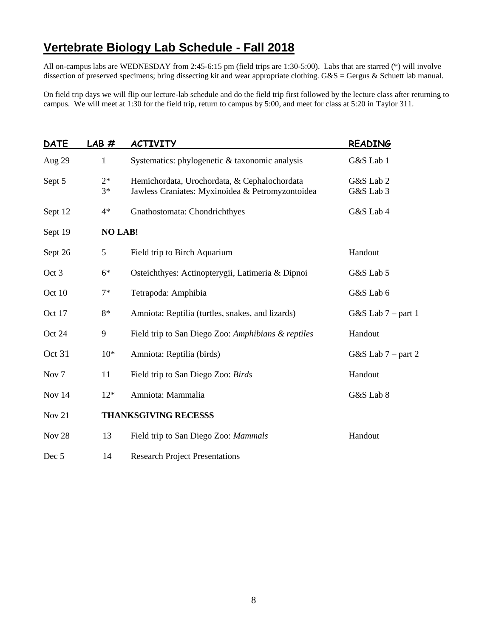## **Vertebrate Biology Lab Schedule - Fall 2018**

All on-campus labs are WEDNESDAY from 2:45-6:15 pm (field trips are 1:30-5:00). Labs that are starred (\*) will involve dissection of preserved specimens; bring dissecting kit and wear appropriate clothing. G&S = Gergus & Schuett lab manual.

On field trip days we will flip our lecture-lab schedule and do the field trip first followed by the lecture class after returning to campus. We will meet at 1:30 for the field trip, return to campus by 5:00, and meet for class at 5:20 in Taylor 311.

| <b>DATE</b>       | LAB#           | <b>ACTIVITY</b>                                                                                  | <b>READING</b>         |
|-------------------|----------------|--------------------------------------------------------------------------------------------------|------------------------|
| Aug 29            | $\mathbf{1}$   | Systematics: phylogenetic & taxonomic analysis                                                   | G&S Lab 1              |
| Sept 5            | $2*$<br>$3*$   | Hemichordata, Urochordata, & Cephalochordata<br>Jawless Craniates: Myxinoidea & Petromyzontoidea | G&S Lab 2<br>G&S Lab 3 |
| Sept 12           | $4*$           | Gnathostomata: Chondrichthyes                                                                    | G&S Lab 4              |
| Sept 19           | <b>NO LAB!</b> |                                                                                                  |                        |
| Sept 26           | 5              | Field trip to Birch Aquarium                                                                     | Handout                |
| Oct 3             | $6*$           | Osteichthyes: Actinopterygii, Latimeria & Dipnoi                                                 | G&S Lab 5              |
| Oct 10            | $7*$           | Tetrapoda: Amphibia                                                                              | G&S Lab 6              |
| Oct 17            | 8*             | Amniota: Reptilia (turtles, snakes, and lizards)                                                 | G&S Lab $7$ – part 1   |
| Oct 24            | 9              | Field trip to San Diego Zoo: Amphibians & reptiles                                               | Handout                |
| Oct 31            | $10*$          | Amniota: Reptilia (birds)                                                                        | G&S Lab $7$ – part 2   |
| Nov <sub>7</sub>  | 11             | Field trip to San Diego Zoo: Birds                                                               | Handout                |
| Nov 14            | $12*$          | Amniota: Mammalia                                                                                | G&S Lab 8              |
| Nov 21            |                | <b>THANKSGIVING RECESSS</b>                                                                      |                        |
| Nov <sub>28</sub> | 13             | Field trip to San Diego Zoo: Mammals                                                             | Handout                |
| Dec 5             | 14             | <b>Research Project Presentations</b>                                                            |                        |